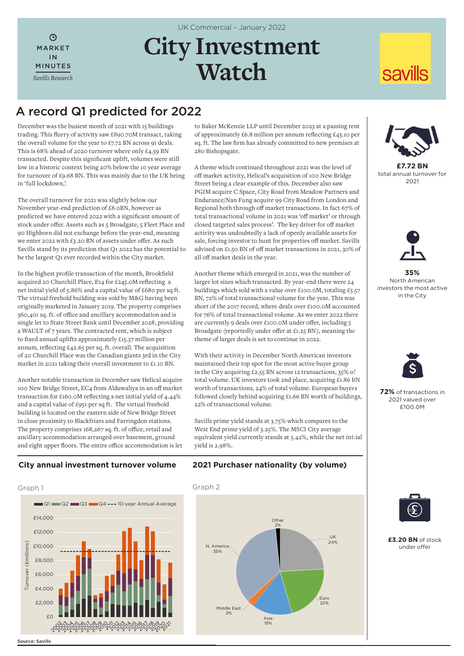$\mathcal{L}$ MARKET IN MINUTES *Savills Research* UK Commercial – January 2022

# **City Investment Watch**

## A record Q1 predicted for 2022

December was the busiest month of 2021 with 15 buildings trading. This flurry of activity saw £890.70M transact, taking the overall volume for the year to £7.72 BN across 91 deals. This is 68% ahead of 2020 turnover where only £4.59 BN transacted. Despite this significant uplift, volumes were still low in a historic context being 20% below the 10 year average for turnover of £9.68 BN. This was mainly due to the UK being in 'full lockdown,'.

The overall turnover for 2021 was slightly below our November year-end prediction of £8.0BN, however as predicted we have entered 2022 with a significant amount of stock under offer. Assets such as 5 Broadgate, 5 Fleet Place and 90 Highborn did not exchange before the year-end, meaning we enter 2022 with £3.20 BN of assets under offer. As such Savills stand by its prediction that Q1 2022 has the potential to be the largest Q1 ever recorded within the City market.

In the highest profile transaction of the month, Brookfield acquired 20 Churchill Place, E14 for £245.0M reflecting a net initial yield of 5.86% and a capital value of £680 per sq ft. The virtual freehold building was sold by M&G having been originally marketed in January 2019. The property comprises 360,401 sq. ft. of office and ancillary accommodation and is single let to State Street Bank until December 2028, providing a WAULT of 7 years. The contracted rent, which is subject to fixed annual uplifts approximately £15.37 million per annum, reflecting £42.65 per sq. ft. overall. The acquisition of 20 Churchill Place was the Canadian giants 3rd in the City market in 2021 taking their overall investment to £1.10 BN.

Another notable transaction in December saw Helical acquire 100 New Bridge Street, EC4 from Alduwaliya in an off market transaction for £160.0M reflecting a net initial yield of 4.44% and a capital value of £951 per sq ft. The virtual freehold building is located on the eastern side of New Bridge Street in close proximity to Blackfriars and Farringdon stations. The property comprises 168,267 sq. ft. of office, retail and ancillary accommodation arranged over basement, ground and eight upper floors. The entire office accommodation is let

to Baker McKenzie LLP until December 2023 at a passing rent of approximately £6.8 million per annum reflecting £43.10 per sq. ft. The law firm has already committed to new premises at 280 Bishopsgate.

A theme which continued throughout 2021 was the level of off market activity, Helical's acquisition of 100 New Bridge Street being a clear example of this. December also saw PGIM acquire C Space, City Road from Meadow Partners and Endurance/Nan Fung acquire 99 City Road from London and Regional both through off market transactions. In fact 67% of total transactional volume in 2021 was 'off market' or through closed targeted sales process'. The key driver for off market activity was undoubtedly a lack of openly available assets for sale, forcing investor to hunt for properties off market. Savills advised on £1.50 BN of off market transactions in 2021, 30% of all off market deals in the year.

Another theme which emerged in 2021, was the number of larger lot sizes which transacted. By year-end there were 24 buildings which sold with a value over £100.0M, totaling £5.57 BN, 72% of total transactional volume for the year. This was short of the 2017 record, where deals over £100.0M accounted for 76% of total transactional volume. As we enter 2022 there are currently 9 deals over £100.0M under offer, including 5 Broadgate (reportedly under offer at £1.25 BN), meaning the theme of larger deals is set to continue in 2022.

With their activity in December North American investors maintained their top spot for the most active buyer group in the City acquiring £2.55 BN across 12 transactions, 35% of total volume. UK investors took 2nd place, acquiring £1.86 BN worth of transactions, 24% of total volume. European buyers followed closely behind acquiring £1.66 BN worth of buildings, 22% of transactional volume.

Savills prime yield stands at 3.75% which compares to the West End prime yield of 3.25%. The MSCI City average equivalent yield currently stands at 5.42%, while the net initial yield is 2.98%.



**savills** 

**£7.72 BN** total annual turnover for 2021



**35%**  North American investors the most active in the City



**72%** of transactions in 2021 valued over £100.0M



**£3.20 BN** of stock under offer

## **City annual investment turnover volume**



**2021 Purchaser nationality (by volume)**